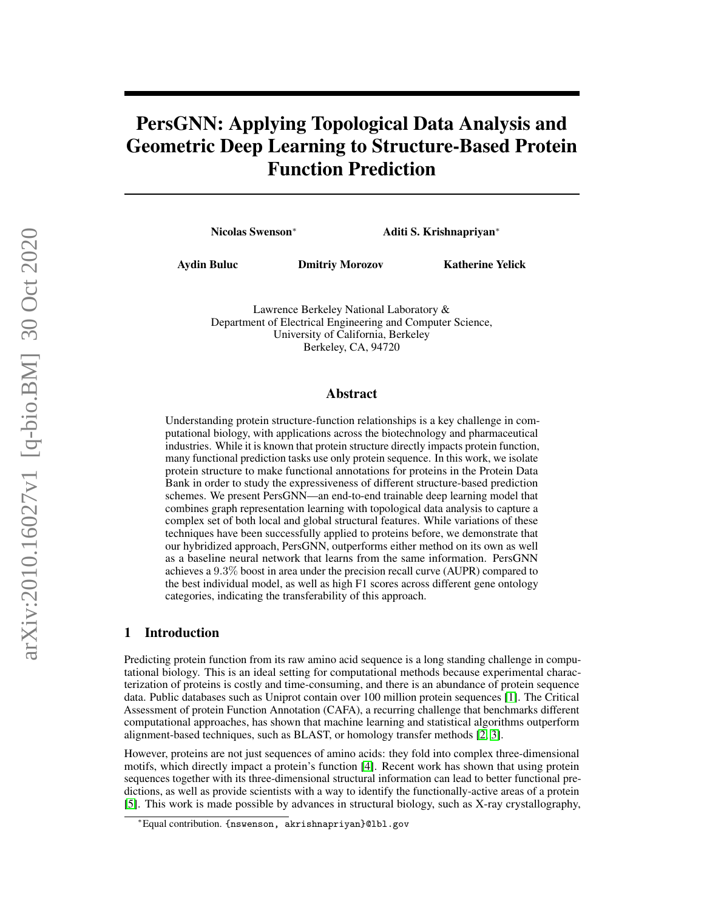# PersGNN: Applying Topological Data Analysis and Geometric Deep Learning to Structure-Based Protein Function Prediction

Nicolas Swenson<sup>∗</sup> Aditi S. Krishnapriyan<sup>∗</sup>

Aydin Buluc Dmitriy Morozov Katherine Yelick

Lawrence Berkeley National Laboratory & Department of Electrical Engineering and Computer Science, University of California, Berkeley Berkeley, CA, 94720

## Abstract

Understanding protein structure-function relationships is a key challenge in computational biology, with applications across the biotechnology and pharmaceutical industries. While it is known that protein structure directly impacts protein function, many functional prediction tasks use only protein sequence. In this work, we isolate protein structure to make functional annotations for proteins in the Protein Data Bank in order to study the expressiveness of different structure-based prediction schemes. We present PersGNN—an end-to-end trainable deep learning model that combines graph representation learning with topological data analysis to capture a complex set of both local and global structural features. While variations of these techniques have been successfully applied to proteins before, we demonstrate that our hybridized approach, PersGNN, outperforms either method on its own as well as a baseline neural network that learns from the same information. PersGNN achieves a 9.3% boost in area under the precision recall curve (AUPR) compared to the best individual model, as well as high F1 scores across different gene ontology categories, indicating the transferability of this approach.

# 1 Introduction

Predicting protein function from its raw amino acid sequence is a long standing challenge in computational biology. This is an ideal setting for computational methods because experimental characterization of proteins is costly and time-consuming, and there is an abundance of protein sequence data. Public databases such as Uniprot contain over 100 million protein sequences [\[1\]](#page-6-0). The Critical Assessment of protein Function Annotation (CAFA), a recurring challenge that benchmarks different computational approaches, has shown that machine learning and statistical algorithms outperform alignment-based techniques, such as BLAST, or homology transfer methods [\[2,](#page-6-1) [3\]](#page-7-0).

However, proteins are not just sequences of amino acids: they fold into complex three-dimensional motifs, which directly impact a protein's function [\[4\]](#page-7-1). Recent work has shown that using protein sequences together with its three-dimensional structural information can lead to better functional predictions, as well as provide scientists with a way to identify the functionally-active areas of a protein [\[5\]](#page-7-2). This work is made possible by advances in structural biology, such as X-ray crystallography,

<sup>∗</sup>Equal contribution. {nswenson, akrishnapriyan}@lbl.gov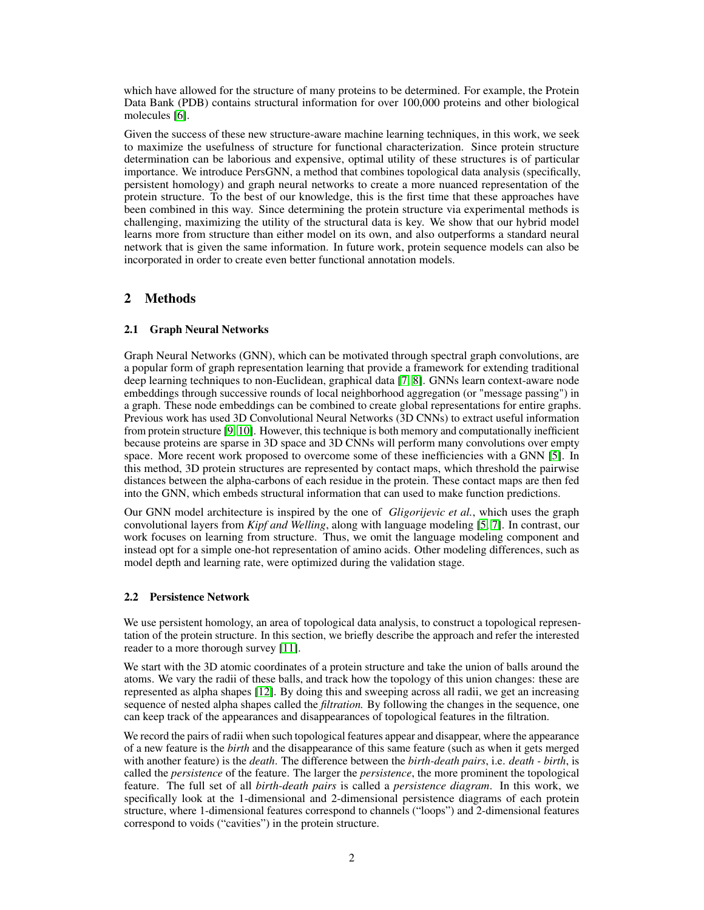which have allowed for the structure of many proteins to be determined. For example, the Protein Data Bank (PDB) contains structural information for over 100,000 proteins and other biological molecules [\[6\]](#page-7-3).

Given the success of these new structure-aware machine learning techniques, in this work, we seek to maximize the usefulness of structure for functional characterization. Since protein structure determination can be laborious and expensive, optimal utility of these structures is of particular importance. We introduce PersGNN, a method that combines topological data analysis (specifically, persistent homology) and graph neural networks to create a more nuanced representation of the protein structure. To the best of our knowledge, this is the first time that these approaches have been combined in this way. Since determining the protein structure via experimental methods is challenging, maximizing the utility of the structural data is key. We show that our hybrid model learns more from structure than either model on its own, and also outperforms a standard neural network that is given the same information. In future work, protein sequence models can also be incorporated in order to create even better functional annotation models.

# 2 Methods

## <span id="page-1-0"></span>2.1 Graph Neural Networks

Graph Neural Networks (GNN), which can be motivated through spectral graph convolutions, are a popular form of graph representation learning that provide a framework for extending traditional deep learning techniques to non-Euclidean, graphical data [\[7,](#page-7-4) [8\]](#page-7-5). GNNs learn context-aware node embeddings through successive rounds of local neighborhood aggregation (or "message passing") in a graph. These node embeddings can be combined to create global representations for entire graphs. Previous work has used 3D Convolutional Neural Networks (3D CNNs) to extract useful information from protein structure [\[9,](#page-7-6) [10\]](#page-7-7). However, this technique is both memory and computationally inefficient because proteins are sparse in 3D space and 3D CNNs will perform many convolutions over empty space. More recent work proposed to overcome some of these inefficiencies with a GNN [\[5\]](#page-7-2). In this method, 3D protein structures are represented by contact maps, which threshold the pairwise distances between the alpha-carbons of each residue in the protein. These contact maps are then fed into the GNN, which embeds structural information that can used to make function predictions.

Our GNN model architecture is inspired by the one of *Gligorijevic et al.*, which uses the graph convolutional layers from *Kipf and Welling*, along with language modeling [\[5,](#page-7-2) [7\]](#page-7-4). In contrast, our work focuses on learning from structure. Thus, we omit the language modeling component and instead opt for a simple one-hot representation of amino acids. Other modeling differences, such as model depth and learning rate, were optimized during the validation stage.

## <span id="page-1-1"></span>2.2 Persistence Network

We use persistent homology, an area of topological data analysis, to construct a topological representation of the protein structure. In this section, we briefly describe the approach and refer the interested reader to a more thorough survey [\[11\]](#page-7-8).

We start with the 3D atomic coordinates of a protein structure and take the union of balls around the atoms. We vary the radii of these balls, and track how the topology of this union changes: these are represented as alpha shapes [\[12\]](#page-7-9). By doing this and sweeping across all radii, we get an increasing sequence of nested alpha shapes called the *filtration.* By following the changes in the sequence, one can keep track of the appearances and disappearances of topological features in the filtration.

We record the pairs of radii when such topological features appear and disappear, where the appearance of a new feature is the *birth* and the disappearance of this same feature (such as when it gets merged with another feature) is the *death*. The difference between the *birth-death pairs*, i.e. *death - birth*, is called the *persistence* of the feature. The larger the *persistence*, the more prominent the topological feature. The full set of all *birth-death pairs* is called a *persistence diagram*. In this work, we specifically look at the 1-dimensional and 2-dimensional persistence diagrams of each protein structure, where 1-dimensional features correspond to channels ("loops") and 2-dimensional features correspond to voids ("cavities") in the protein structure.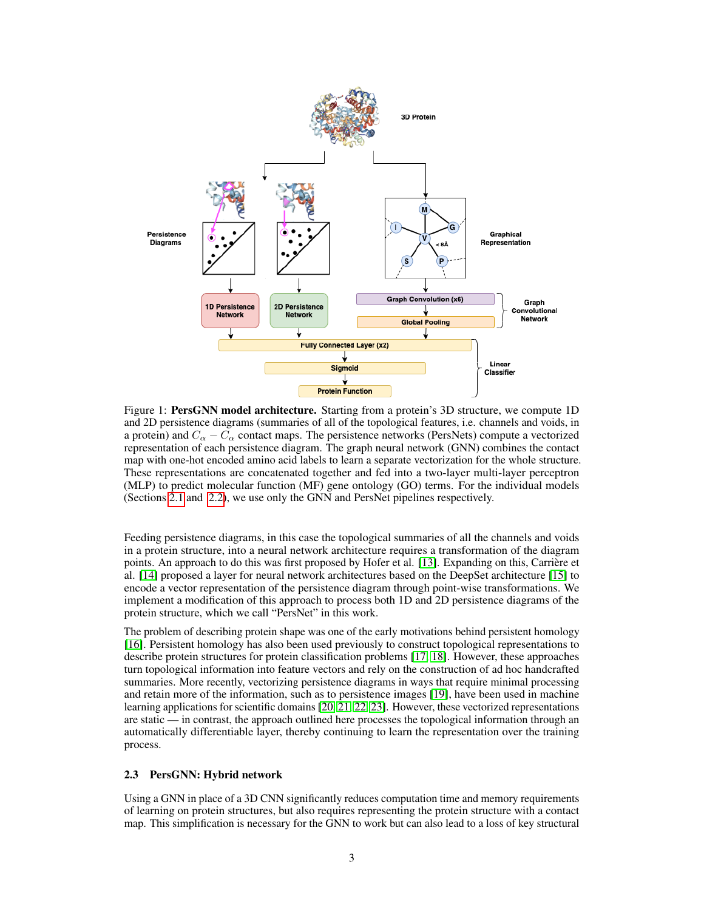<span id="page-2-0"></span>

Figure 1: PersGNN model architecture. Starting from a protein's 3D structure, we compute 1D and 2D persistence diagrams (summaries of all of the topological features, i.e. channels and voids, in a protein) and  $C_{\alpha} - \overline{C}_{\alpha}$  contact maps. The persistence networks (PersNets) compute a vectorized representation of each persistence diagram. The graph neural network (GNN) combines the contact map with one-hot encoded amino acid labels to learn a separate vectorization for the whole structure. These representations are concatenated together and fed into a two-layer multi-layer perceptron (MLP) to predict molecular function (MF) gene ontology (GO) terms. For the individual models (Sections [2.1](#page-1-0) and [2.2\)](#page-1-1), we use only the GNN and PersNet pipelines respectively.

Feeding persistence diagrams, in this case the topological summaries of all the channels and voids in a protein structure, into a neural network architecture requires a transformation of the diagram points. An approach to do this was first proposed by Hofer et al. [\[13\]](#page-7-10). Expanding on this, Carrière et al. [\[14\]](#page-7-11) proposed a layer for neural network architectures based on the DeepSet architecture [\[15\]](#page-7-12) to encode a vector representation of the persistence diagram through point-wise transformations. We implement a modification of this approach to process both 1D and 2D persistence diagrams of the protein structure, which we call "PersNet" in this work.

The problem of describing protein shape was one of the early motivations behind persistent homology [\[16\]](#page-7-13). Persistent homology has also been used previously to construct topological representations to describe protein structures for protein classification problems [\[17,](#page-7-14) [18\]](#page-7-15). However, these approaches turn topological information into feature vectors and rely on the construction of ad hoc handcrafted summaries. More recently, vectorizing persistence diagrams in ways that require minimal processing and retain more of the information, such as to persistence images [\[19\]](#page-7-16), have been used in machine learning applications for scientific domains [\[20,](#page-7-17) [21,](#page-7-18) [22,](#page-8-0) [23\]](#page-8-1). However, these vectorized representations are static — in contrast, the approach outlined here processes the topological information through an automatically differentiable layer, thereby continuing to learn the representation over the training process.

#### 2.3 PersGNN: Hybrid network

Using a GNN in place of a 3D CNN significantly reduces computation time and memory requirements of learning on protein structures, but also requires representing the protein structure with a contact map. This simplification is necessary for the GNN to work but can also lead to a loss of key structural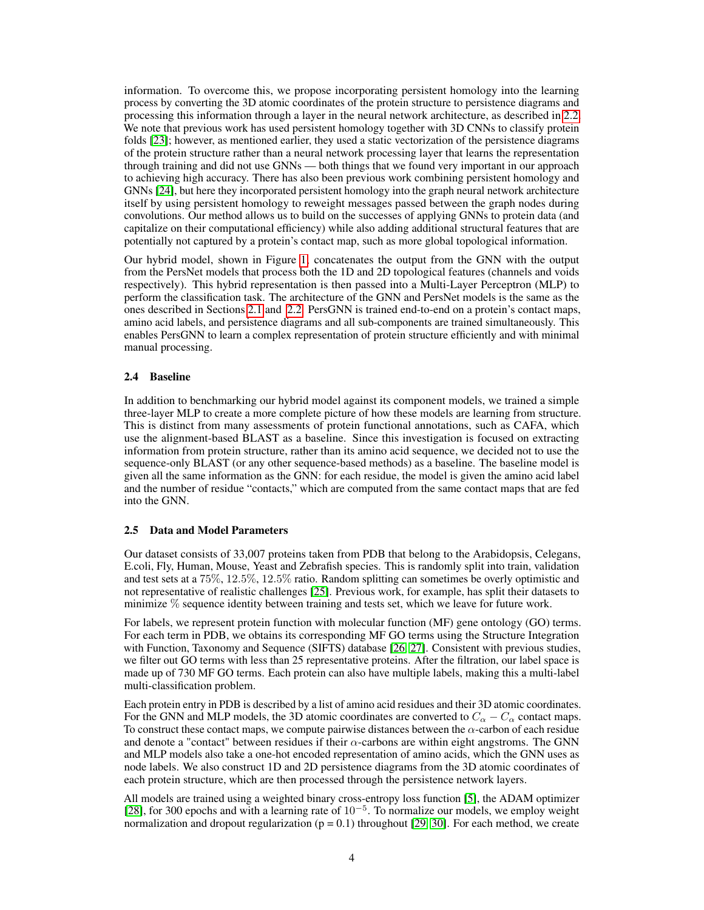information. To overcome this, we propose incorporating persistent homology into the learning process by converting the 3D atomic coordinates of the protein structure to persistence diagrams and processing this information through a layer in the neural network architecture, as described in [2.2.](#page-1-1) We note that previous work has used persistent homology together with 3D CNNs to classify protein folds [\[23\]](#page-8-1); however, as mentioned earlier, they used a static vectorization of the persistence diagrams of the protein structure rather than a neural network processing layer that learns the representation through training and did not use GNNs — both things that we found very important in our approach to achieving high accuracy. There has also been previous work combining persistent homology and GNNs [\[24\]](#page-8-2), but here they incorporated persistent homology into the graph neural network architecture itself by using persistent homology to reweight messages passed between the graph nodes during convolutions. Our method allows us to build on the successes of applying GNNs to protein data (and capitalize on their computational efficiency) while also adding additional structural features that are potentially not captured by a protein's contact map, such as more global topological information.

Our hybrid model, shown in Figure [1,](#page-2-0) concatenates the output from the GNN with the output from the PersNet models that process both the 1D and 2D topological features (channels and voids respectively). This hybrid representation is then passed into a Multi-Layer Perceptron (MLP) to perform the classification task. The architecture of the GNN and PersNet models is the same as the ones described in Sections [2.1](#page-1-0) and [2.2.](#page-1-1) PersGNN is trained end-to-end on a protein's contact maps, amino acid labels, and persistence diagrams and all sub-components are trained simultaneously. This enables PersGNN to learn a complex representation of protein structure efficiently and with minimal manual processing.

#### 2.4 Baseline

In addition to benchmarking our hybrid model against its component models, we trained a simple three-layer MLP to create a more complete picture of how these models are learning from structure. This is distinct from many assessments of protein functional annotations, such as CAFA, which use the alignment-based BLAST as a baseline. Since this investigation is focused on extracting information from protein structure, rather than its amino acid sequence, we decided not to use the sequence-only BLAST (or any other sequence-based methods) as a baseline. The baseline model is given all the same information as the GNN: for each residue, the model is given the amino acid label and the number of residue "contacts," which are computed from the same contact maps that are fed into the GNN.

#### 2.5 Data and Model Parameters

Our dataset consists of 33,007 proteins taken from PDB that belong to the Arabidopsis, Celegans, E.coli, Fly, Human, Mouse, Yeast and Zebrafish species. This is randomly split into train, validation and test sets at a 75%, 12.5%, 12.5% ratio. Random splitting can sometimes be overly optimistic and not representative of realistic challenges [\[25\]](#page-8-3). Previous work, for example, has split their datasets to minimize % sequence identity between training and tests set, which we leave for future work.

For labels, we represent protein function with molecular function (MF) gene ontology (GO) terms. For each term in PDB, we obtains its corresponding MF GO terms using the Structure Integration with Function, Taxonomy and Sequence (SIFTS) database [\[26,](#page-8-4) [27\]](#page-8-5). Consistent with previous studies, we filter out GO terms with less than 25 representative proteins. After the filtration, our label space is made up of 730 MF GO terms. Each protein can also have multiple labels, making this a multi-label multi-classification problem.

Each protein entry in PDB is described by a list of amino acid residues and their 3D atomic coordinates. For the GNN and MLP models, the 3D atomic coordinates are converted to  $C_{\alpha} - C_{\alpha}$  contact maps. To construct these contact maps, we compute pairwise distances between the  $\alpha$ -carbon of each residue and denote a "contact" between residues if their  $\alpha$ -carbons are within eight angstroms. The GNN and MLP models also take a one-hot encoded representation of amino acids, which the GNN uses as node labels. We also construct 1D and 2D persistence diagrams from the 3D atomic coordinates of each protein structure, which are then processed through the persistence network layers.

All models are trained using a weighted binary cross-entropy loss function [\[5\]](#page-7-2), the ADAM optimizer [\[28\]](#page-8-6), for 300 epochs and with a learning rate of 10<sup>-5</sup>. To normalize our models, we employ weight normalization and dropout regularization ( $p = 0.1$ ) throughout [\[29,](#page-8-7) [30\]](#page-8-8). For each method, we create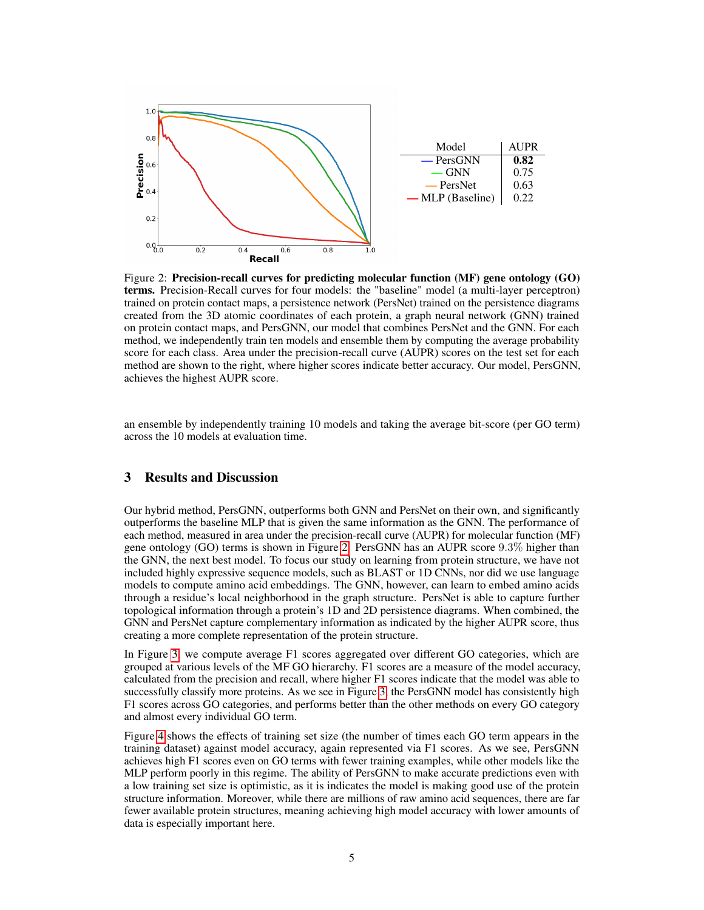<span id="page-4-0"></span>

Figure 2: Precision-recall curves for predicting molecular function (MF) gene ontology (GO) terms. Precision-Recall curves for four models: the "baseline" model (a multi-layer perceptron) trained on protein contact maps, a persistence network (PersNet) trained on the persistence diagrams created from the 3D atomic coordinates of each protein, a graph neural network (GNN) trained on protein contact maps, and PersGNN, our model that combines PersNet and the GNN. For each method, we independently train ten models and ensemble them by computing the average probability score for each class. Area under the precision-recall curve (AUPR) scores on the test set for each method are shown to the right, where higher scores indicate better accuracy. Our model, PersGNN, achieves the highest AUPR score.

an ensemble by independently training 10 models and taking the average bit-score (per GO term) across the 10 models at evaluation time.

## 3 Results and Discussion

Our hybrid method, PersGNN, outperforms both GNN and PersNet on their own, and significantly outperforms the baseline MLP that is given the same information as the GNN. The performance of each method, measured in area under the precision-recall curve (AUPR) for molecular function (MF) gene ontology (GO) terms is shown in Figure [2.](#page-4-0) PersGNN has an AUPR score 9.3% higher than the GNN, the next best model. To focus our study on learning from protein structure, we have not included highly expressive sequence models, such as BLAST or 1D CNNs, nor did we use language models to compute amino acid embeddings. The GNN, however, can learn to embed amino acids through a residue's local neighborhood in the graph structure. PersNet is able to capture further topological information through a protein's 1D and 2D persistence diagrams. When combined, the GNN and PersNet capture complementary information as indicated by the higher AUPR score, thus creating a more complete representation of the protein structure.

In Figure [3,](#page-5-0) we compute average F1 scores aggregated over different GO categories, which are grouped at various levels of the MF GO hierarchy. F1 scores are a measure of the model accuracy, calculated from the precision and recall, where higher F1 scores indicate that the model was able to successfully classify more proteins. As we see in Figure [3,](#page-5-0) the PersGNN model has consistently high F1 scores across GO categories, and performs better than the other methods on every GO category and almost every individual GO term.

Figure [4](#page-5-1) shows the effects of training set size (the number of times each GO term appears in the training dataset) against model accuracy, again represented via F1 scores. As we see, PersGNN achieves high F1 scores even on GO terms with fewer training examples, while other models like the MLP perform poorly in this regime. The ability of PersGNN to make accurate predictions even with a low training set size is optimistic, as it is indicates the model is making good use of the protein structure information. Moreover, while there are millions of raw amino acid sequences, there are far fewer available protein structures, meaning achieving high model accuracy with lower amounts of data is especially important here.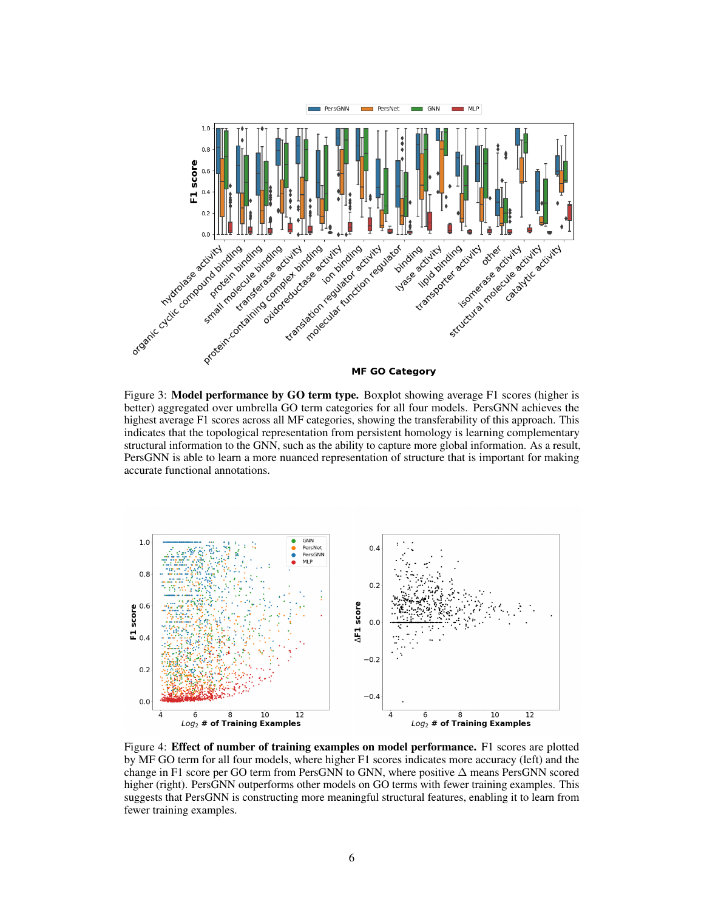<span id="page-5-0"></span>

Figure 3: Model performance by GO term type. Boxplot showing average F1 scores (higher is better) aggregated over umbrella GO term categories for all four models. PersGNN achieves the highest average F1 scores across all MF categories, showing the transferability of this approach. This indicates that the topological representation from persistent homology is learning complementary structural information to the GNN, such as the ability to capture more global information. As a result, PersGNN is able to learn a more nuanced representation of structure that is important for making accurate functional annotations.

<span id="page-5-1"></span>

Figure 4: Effect of number of training examples on model performance. F1 scores are plotted by MF GO term for all four models, where higher F1 scores indicates more accuracy (left) and the change in F1 score per GO term from PersGNN to GNN, where positive  $\Delta$  means PersGNN scored higher (right). PersGNN outperforms other models on GO terms with fewer training examples. This suggests that PersGNN is constructing more meaningful structural features, enabling it to learn from fewer training examples.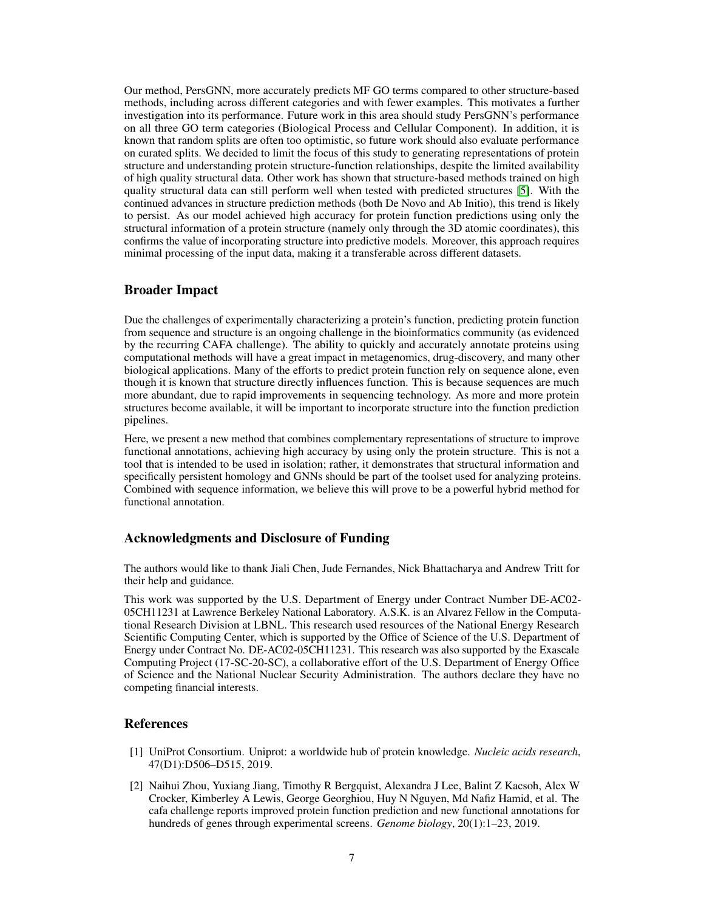Our method, PersGNN, more accurately predicts MF GO terms compared to other structure-based methods, including across different categories and with fewer examples. This motivates a further investigation into its performance. Future work in this area should study PersGNN's performance on all three GO term categories (Biological Process and Cellular Component). In addition, it is known that random splits are often too optimistic, so future work should also evaluate performance on curated splits. We decided to limit the focus of this study to generating representations of protein structure and understanding protein structure-function relationships, despite the limited availability of high quality structural data. Other work has shown that structure-based methods trained on high quality structural data can still perform well when tested with predicted structures [\[5\]](#page-7-2). With the continued advances in structure prediction methods (both De Novo and Ab Initio), this trend is likely to persist. As our model achieved high accuracy for protein function predictions using only the structural information of a protein structure (namely only through the 3D atomic coordinates), this confirms the value of incorporating structure into predictive models. Moreover, this approach requires minimal processing of the input data, making it a transferable across different datasets.

## Broader Impact

Due the challenges of experimentally characterizing a protein's function, predicting protein function from sequence and structure is an ongoing challenge in the bioinformatics community (as evidenced by the recurring CAFA challenge). The ability to quickly and accurately annotate proteins using computational methods will have a great impact in metagenomics, drug-discovery, and many other biological applications. Many of the efforts to predict protein function rely on sequence alone, even though it is known that structure directly influences function. This is because sequences are much more abundant, due to rapid improvements in sequencing technology. As more and more protein structures become available, it will be important to incorporate structure into the function prediction pipelines.

Here, we present a new method that combines complementary representations of structure to improve functional annotations, achieving high accuracy by using only the protein structure. This is not a tool that is intended to be used in isolation; rather, it demonstrates that structural information and specifically persistent homology and GNNs should be part of the toolset used for analyzing proteins. Combined with sequence information, we believe this will prove to be a powerful hybrid method for functional annotation.

## Acknowledgments and Disclosure of Funding

The authors would like to thank Jiali Chen, Jude Fernandes, Nick Bhattacharya and Andrew Tritt for their help and guidance.

This work was supported by the U.S. Department of Energy under Contract Number DE-AC02- 05CH11231 at Lawrence Berkeley National Laboratory. A.S.K. is an Alvarez Fellow in the Computational Research Division at LBNL. This research used resources of the National Energy Research Scientific Computing Center, which is supported by the Office of Science of the U.S. Department of Energy under Contract No. DE-AC02-05CH11231. This research was also supported by the Exascale Computing Project (17-SC-20-SC), a collaborative effort of the U.S. Department of Energy Office of Science and the National Nuclear Security Administration. The authors declare they have no competing financial interests.

## References

- <span id="page-6-0"></span>[1] UniProt Consortium. Uniprot: a worldwide hub of protein knowledge. *Nucleic acids research*, 47(D1):D506–D515, 2019.
- <span id="page-6-1"></span>[2] Naihui Zhou, Yuxiang Jiang, Timothy R Bergquist, Alexandra J Lee, Balint Z Kacsoh, Alex W Crocker, Kimberley A Lewis, George Georghiou, Huy N Nguyen, Md Nafiz Hamid, et al. The cafa challenge reports improved protein function prediction and new functional annotations for hundreds of genes through experimental screens. *Genome biology*, 20(1):1–23, 2019.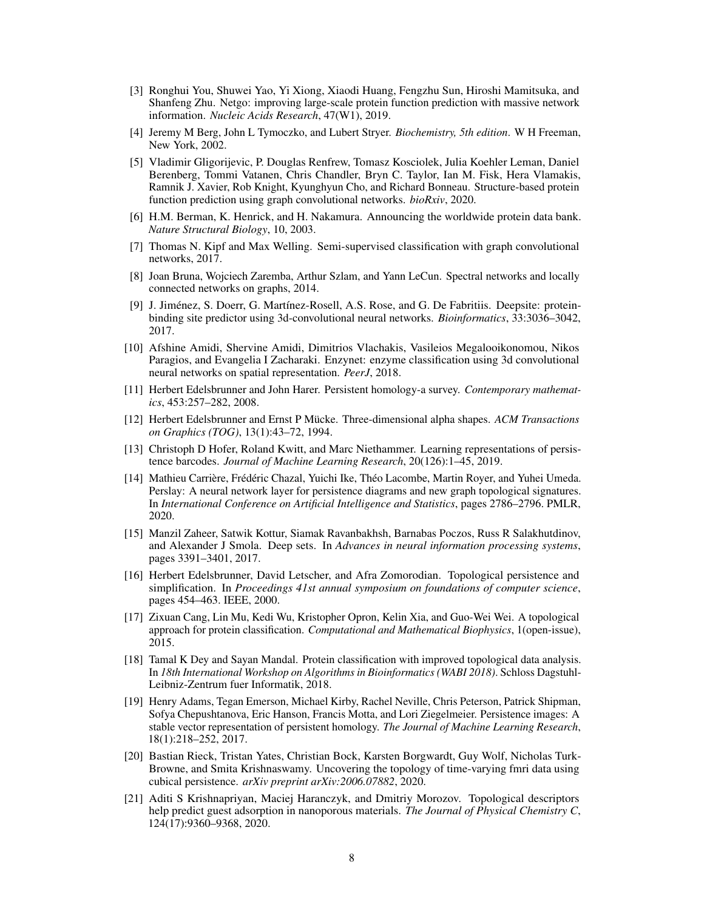- <span id="page-7-0"></span>[3] Ronghui You, Shuwei Yao, Yi Xiong, Xiaodi Huang, Fengzhu Sun, Hiroshi Mamitsuka, and Shanfeng Zhu. Netgo: improving large-scale protein function prediction with massive network information. *Nucleic Acids Research*, 47(W1), 2019.
- <span id="page-7-1"></span>[4] Jeremy M Berg, John L Tymoczko, and Lubert Stryer. *Biochemistry, 5th edition*. W H Freeman, New York, 2002.
- <span id="page-7-2"></span>[5] Vladimir Gligorijevic, P. Douglas Renfrew, Tomasz Kosciolek, Julia Koehler Leman, Daniel Berenberg, Tommi Vatanen, Chris Chandler, Bryn C. Taylor, Ian M. Fisk, Hera Vlamakis, Ramnik J. Xavier, Rob Knight, Kyunghyun Cho, and Richard Bonneau. Structure-based protein function prediction using graph convolutional networks. *bioRxiv*, 2020.
- <span id="page-7-3"></span>[6] H.M. Berman, K. Henrick, and H. Nakamura. Announcing the worldwide protein data bank. *Nature Structural Biology*, 10, 2003.
- <span id="page-7-4"></span>[7] Thomas N. Kipf and Max Welling. Semi-supervised classification with graph convolutional networks, 2017.
- <span id="page-7-5"></span>[8] Joan Bruna, Wojciech Zaremba, Arthur Szlam, and Yann LeCun. Spectral networks and locally connected networks on graphs, 2014.
- <span id="page-7-6"></span>[9] J. Jiménez, S. Doerr, G. Martínez-Rosell, A.S. Rose, and G. De Fabritiis. Deepsite: proteinbinding site predictor using 3d-convolutional neural networks. *Bioinformatics*, 33:3036–3042, 2017.
- <span id="page-7-7"></span>[10] Afshine Amidi, Shervine Amidi, Dimitrios Vlachakis, Vasileios Megalooikonomou, Nikos Paragios, and Evangelia I Zacharaki. Enzynet: enzyme classification using 3d convolutional neural networks on spatial representation. *PeerJ*, 2018.
- <span id="page-7-8"></span>[11] Herbert Edelsbrunner and John Harer. Persistent homology-a survey. *Contemporary mathematics*, 453:257–282, 2008.
- <span id="page-7-9"></span>[12] Herbert Edelsbrunner and Ernst P Mücke. Three-dimensional alpha shapes. *ACM Transactions on Graphics (TOG)*, 13(1):43–72, 1994.
- <span id="page-7-10"></span>[13] Christoph D Hofer, Roland Kwitt, and Marc Niethammer. Learning representations of persistence barcodes. *Journal of Machine Learning Research*, 20(126):1–45, 2019.
- <span id="page-7-11"></span>[14] Mathieu Carrière, Frédéric Chazal, Yuichi Ike, Théo Lacombe, Martin Royer, and Yuhei Umeda. Perslay: A neural network layer for persistence diagrams and new graph topological signatures. In *International Conference on Artificial Intelligence and Statistics*, pages 2786–2796. PMLR, 2020.
- <span id="page-7-12"></span>[15] Manzil Zaheer, Satwik Kottur, Siamak Ravanbakhsh, Barnabas Poczos, Russ R Salakhutdinov, and Alexander J Smola. Deep sets. In *Advances in neural information processing systems*, pages 3391–3401, 2017.
- <span id="page-7-13"></span>[16] Herbert Edelsbrunner, David Letscher, and Afra Zomorodian. Topological persistence and simplification. In *Proceedings 41st annual symposium on foundations of computer science*, pages 454–463. IEEE, 2000.
- <span id="page-7-14"></span>[17] Zixuan Cang, Lin Mu, Kedi Wu, Kristopher Opron, Kelin Xia, and Guo-Wei Wei. A topological approach for protein classification. *Computational and Mathematical Biophysics*, 1(open-issue), 2015.
- <span id="page-7-15"></span>[18] Tamal K Dey and Sayan Mandal. Protein classification with improved topological data analysis. In *18th International Workshop on Algorithms in Bioinformatics (WABI 2018)*. Schloss Dagstuhl-Leibniz-Zentrum fuer Informatik, 2018.
- <span id="page-7-16"></span>[19] Henry Adams, Tegan Emerson, Michael Kirby, Rachel Neville, Chris Peterson, Patrick Shipman, Sofya Chepushtanova, Eric Hanson, Francis Motta, and Lori Ziegelmeier. Persistence images: A stable vector representation of persistent homology. *The Journal of Machine Learning Research*, 18(1):218–252, 2017.
- <span id="page-7-17"></span>[20] Bastian Rieck, Tristan Yates, Christian Bock, Karsten Borgwardt, Guy Wolf, Nicholas Turk-Browne, and Smita Krishnaswamy. Uncovering the topology of time-varying fmri data using cubical persistence. *arXiv preprint arXiv:2006.07882*, 2020.
- <span id="page-7-18"></span>[21] Aditi S Krishnapriyan, Maciej Haranczyk, and Dmitriy Morozov. Topological descriptors help predict guest adsorption in nanoporous materials. *The Journal of Physical Chemistry C*, 124(17):9360–9368, 2020.